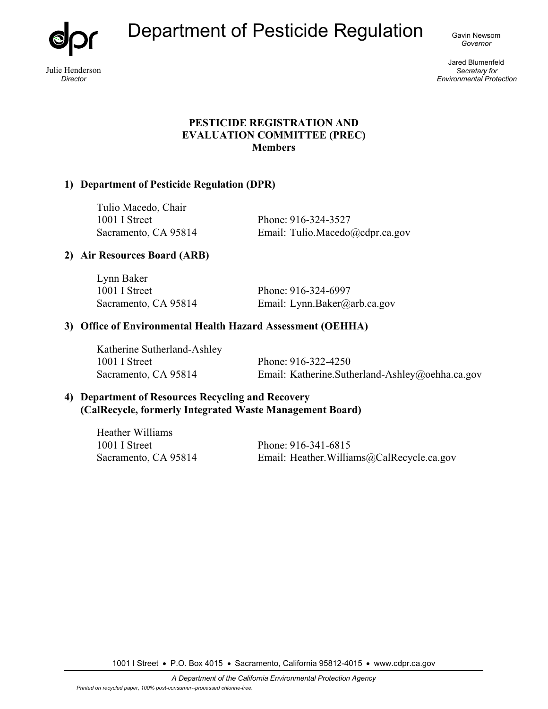Department of Pesticide Regulation Gavin Newsom

Julie Henderson *Director* 

*Governor*

Jared Blumenfeld *Secretary for Environmental Protection*

# **PESTICIDE REGISTRATION AND EVALUATION COMMITTEE (PREC) Members**

# **1) Department of Pesticide Regulation (DPR)**

Tulio Macedo, Chair 1001 I Street Phone: 916-324-3527

Sacramento, CA 95814 Email: Tulio.Macedo@cdpr.ca.gov

# **2) Air Resources Board (ARB)**

Lynn Baker 1001 I Street Phone: 916-324-6997 Sacramento, CA 95814 Email: Lynn.Baker@arb.ca.gov

# **3) Office of Environmental Health Hazard Assessment (OEHHA)**

Katherine Sutherland-Ashley 1001 I Street Phone: 916-322-4250 Sacramento, CA 95814 Email: Katherine.Sutherland-Ashley@oehha.ca.gov

## **4) Department of Resources Recycling and Recovery (CalRecycle, formerly Integrated Waste Management Board)**

| Heather Williams     |                                            |
|----------------------|--------------------------------------------|
| 1001 I Street        | Phone: 916-341-6815                        |
| Sacramento, CA 95814 | Email: Heather. Williams@CalRecycle.ca.gov |

1001 I Street • P.O. Box 4015 • Sacramento, California 95812-4015 • www.cdpr.ca.gov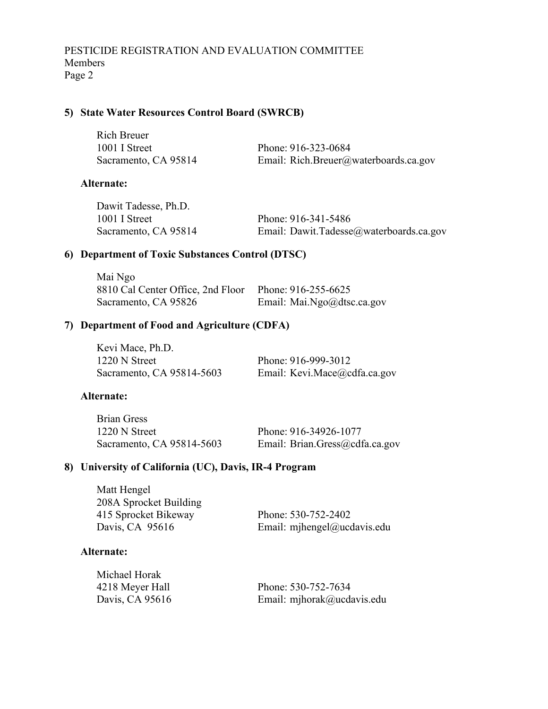## **5) State Water Resources Control Board (SWRCB)**

| <b>Rich Breuer</b>   |                                       |
|----------------------|---------------------------------------|
| 1001 I Street        | Phone: 916-323-0684                   |
| Sacramento, CA 95814 | Email: Rich.Breuer@waterboards.ca.gov |

### **Alternate:**

| Dawit Tadesse, Ph.D. |                                         |
|----------------------|-----------------------------------------|
| 1001 I Street        | Phone: 916-341-5486                     |
| Sacramento, CA 95814 | Email: Dawit.Tadesse@waterboards.ca.gov |

# **6) Department of Toxic Substances Control (DTSC)**

| Mai Ngo                                               |                            |
|-------------------------------------------------------|----------------------------|
| 8810 Cal Center Office, 2nd Floor Phone: 916-255-6625 |                            |
| Sacramento, CA 95826                                  | Email: Mai.Ngo@dtsc.ca.gov |

# **7) Department of Food and Agriculture (CDFA)**

| Kevi Mace, Ph.D.          |                              |
|---------------------------|------------------------------|
| 1220 N Street             | Phone: 916-999-3012          |
| Sacramento, CA 95814-5603 | Email: Kevi.Mace@cdfa.ca.gov |

#### **Alternate:**

| Brian Gress               |                                |
|---------------------------|--------------------------------|
| 1220 N Street             | Phone: 916-34926-1077          |
| Sacramento, CA 95814-5603 | Email: Brian.Gress@cdfa.ca.gov |

# **8) University of California (UC), Davis, IR-4 Program**

| Matt Hengel            |                             |
|------------------------|-----------------------------|
| 208A Sprocket Building |                             |
| 415 Sprocket Bikeway   | Phone: 530-752-2402         |
| Davis, CA 95616        | Email: mjhengel@ucdavis.edu |

### **Alternate:**

| Michael Horak   |                            |
|-----------------|----------------------------|
| 4218 Meyer Hall | Phone: 530-752-7634        |
| Davis, CA 95616 | Email: mjhorak@ucdavis.edu |